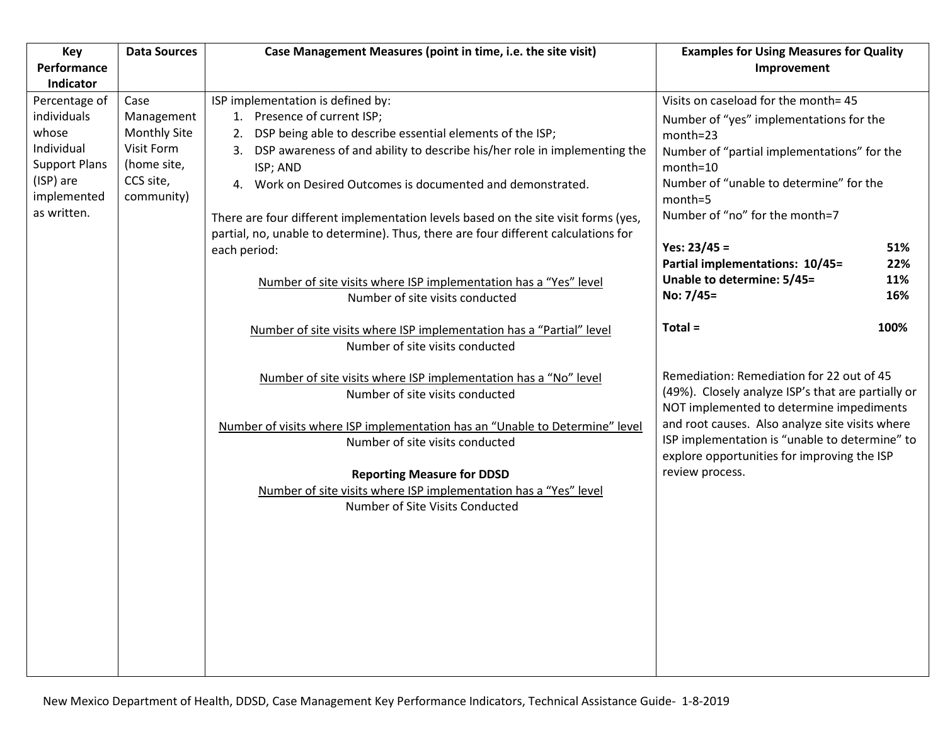| Key                          | <b>Data Sources</b> | Case Management Measures (point in time, i.e. the site visit)                                                                                                                                                                                                                                                                                                     | <b>Examples for Using Measures for Quality</b>                                                                                                                                                                                                                                                                     |      |
|------------------------------|---------------------|-------------------------------------------------------------------------------------------------------------------------------------------------------------------------------------------------------------------------------------------------------------------------------------------------------------------------------------------------------------------|--------------------------------------------------------------------------------------------------------------------------------------------------------------------------------------------------------------------------------------------------------------------------------------------------------------------|------|
| Performance                  |                     |                                                                                                                                                                                                                                                                                                                                                                   | Improvement                                                                                                                                                                                                                                                                                                        |      |
| Indicator                    |                     |                                                                                                                                                                                                                                                                                                                                                                   |                                                                                                                                                                                                                                                                                                                    |      |
| Percentage of<br>individuals | Case<br>Management  | ISP implementation is defined by:<br>1. Presence of current ISP;                                                                                                                                                                                                                                                                                                  | Visits on caseload for the month= 45                                                                                                                                                                                                                                                                               |      |
| whose                        | <b>Monthly Site</b> | 2. DSP being able to describe essential elements of the ISP;                                                                                                                                                                                                                                                                                                      | Number of "yes" implementations for the<br>month=23                                                                                                                                                                                                                                                                |      |
| Individual                   | Visit Form          | 3. DSP awareness of and ability to describe his/her role in implementing the                                                                                                                                                                                                                                                                                      | Number of "partial implementations" for the                                                                                                                                                                                                                                                                        |      |
| <b>Support Plans</b>         | (home site,         | ISP; AND                                                                                                                                                                                                                                                                                                                                                          | month=10                                                                                                                                                                                                                                                                                                           |      |
| (ISP) are                    | CCS site,           | Work on Desired Outcomes is documented and demonstrated.<br>4.                                                                                                                                                                                                                                                                                                    | Number of "unable to determine" for the                                                                                                                                                                                                                                                                            |      |
| implemented<br>as written.   | community)          |                                                                                                                                                                                                                                                                                                                                                                   | month=5                                                                                                                                                                                                                                                                                                            |      |
|                              |                     | There are four different implementation levels based on the site visit forms (yes,                                                                                                                                                                                                                                                                                | Number of "no" for the month=7                                                                                                                                                                                                                                                                                     |      |
|                              |                     | partial, no, unable to determine). Thus, there are four different calculations for<br>each period:                                                                                                                                                                                                                                                                | Yes: $23/45 =$                                                                                                                                                                                                                                                                                                     | 51%  |
|                              |                     |                                                                                                                                                                                                                                                                                                                                                                   | Partial implementations: 10/45=                                                                                                                                                                                                                                                                                    | 22%  |
|                              |                     | Number of site visits where ISP implementation has a "Yes" level                                                                                                                                                                                                                                                                                                  | Unable to determine: 5/45=                                                                                                                                                                                                                                                                                         | 11%  |
|                              |                     | Number of site visits conducted                                                                                                                                                                                                                                                                                                                                   | No: 7/45=                                                                                                                                                                                                                                                                                                          | 16%  |
|                              |                     | Number of site visits where ISP implementation has a "Partial" level                                                                                                                                                                                                                                                                                              | $Total =$                                                                                                                                                                                                                                                                                                          | 100% |
|                              |                     | Number of site visits conducted                                                                                                                                                                                                                                                                                                                                   |                                                                                                                                                                                                                                                                                                                    |      |
|                              |                     | Number of site visits where ISP implementation has a "No" level<br>Number of site visits conducted<br>Number of visits where ISP implementation has an "Unable to Determine" level<br>Number of site visits conducted<br><b>Reporting Measure for DDSD</b><br>Number of site visits where ISP implementation has a "Yes" level<br>Number of Site Visits Conducted | Remediation: Remediation for 22 out of 45<br>(49%). Closely analyze ISP's that are partially or<br>NOT implemented to determine impediments<br>and root causes. Also analyze site visits where<br>ISP implementation is "unable to determine" to<br>explore opportunities for improving the ISP<br>review process. |      |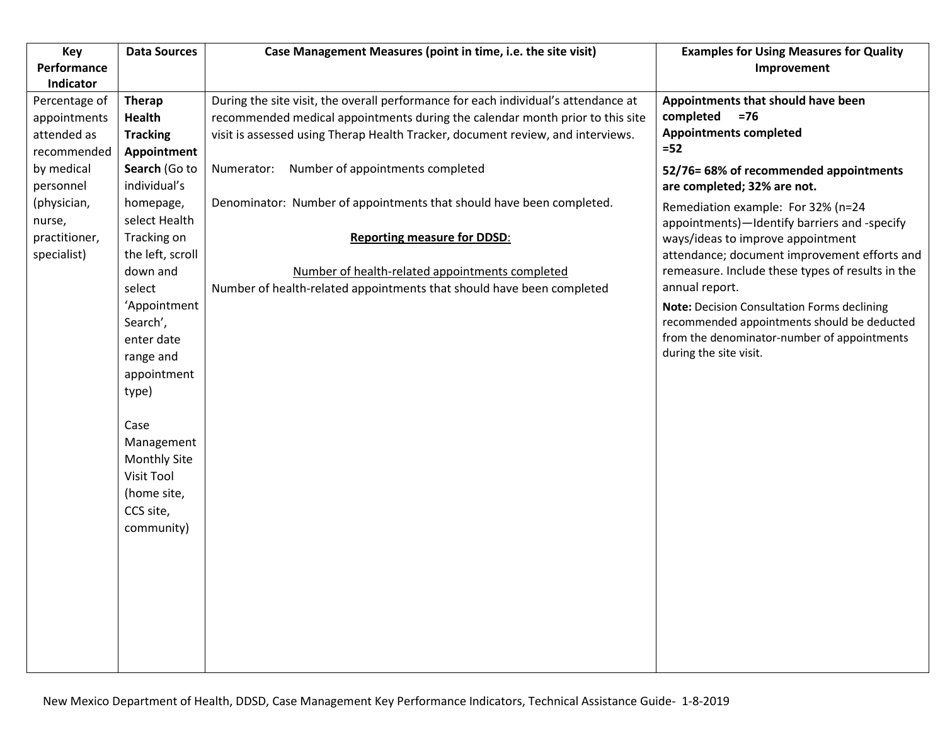| Key                      | <b>Data Sources</b> | Case Management Measures (point in time, i.e. the site visit)                      | <b>Examples for Using Measures for Quality</b>                        |
|--------------------------|---------------------|------------------------------------------------------------------------------------|-----------------------------------------------------------------------|
| Performance<br>Indicator |                     |                                                                                    | Improvement                                                           |
| Percentage of            | <b>Therap</b>       | During the site visit, the overall performance for each individual's attendance at | Appointments that should have been                                    |
| appointments             | Health              | recommended medical appointments during the calendar month prior to this site      | completed<br>$=76$                                                    |
| attended as              | <b>Tracking</b>     | visit is assessed using Therap Health Tracker, document review, and interviews.    | <b>Appointments completed</b>                                         |
| recommended              | Appointment         |                                                                                    | $=52$                                                                 |
| by medical               | Search (Go to       | Number of appointments completed<br>Numerator:                                     | 52/76= 68% of recommended appointments                                |
| personnel                | individual's        |                                                                                    | are completed; 32% are not.                                           |
| (physician,              | homepage,           | Denominator: Number of appointments that should have been completed.               | Remediation example: For 32% (n=24                                    |
| nurse,                   | select Health       |                                                                                    | appointments)-Identify barriers and -specify                          |
| practitioner,            | Tracking on         | <b>Reporting measure for DDSD:</b>                                                 | ways/ideas to improve appointment                                     |
| specialist)              | the left, scroll    |                                                                                    | attendance; document improvement efforts and                          |
|                          | down and            | Number of health-related appointments completed                                    | remeasure. Include these types of results in the                      |
|                          | select              | Number of health-related appointments that should have been completed              | annual report.                                                        |
|                          | 'Appointment        |                                                                                    | Note: Decision Consultation Forms declining                           |
|                          | Search',            |                                                                                    | recommended appointments should be deducted                           |
|                          | enter date          |                                                                                    | from the denominator-number of appointments<br>during the site visit. |
|                          | range and           |                                                                                    |                                                                       |
|                          | appointment         |                                                                                    |                                                                       |
|                          | type)               |                                                                                    |                                                                       |
|                          | Case                |                                                                                    |                                                                       |
|                          | Management          |                                                                                    |                                                                       |
|                          | <b>Monthly Site</b> |                                                                                    |                                                                       |
|                          | Visit Tool          |                                                                                    |                                                                       |
|                          | (home site,         |                                                                                    |                                                                       |
|                          | CCS site,           |                                                                                    |                                                                       |
|                          | community)          |                                                                                    |                                                                       |
|                          |                     |                                                                                    |                                                                       |
|                          |                     |                                                                                    |                                                                       |
|                          |                     |                                                                                    |                                                                       |
|                          |                     |                                                                                    |                                                                       |
|                          |                     |                                                                                    |                                                                       |
|                          |                     |                                                                                    |                                                                       |
|                          |                     |                                                                                    |                                                                       |
|                          |                     |                                                                                    |                                                                       |